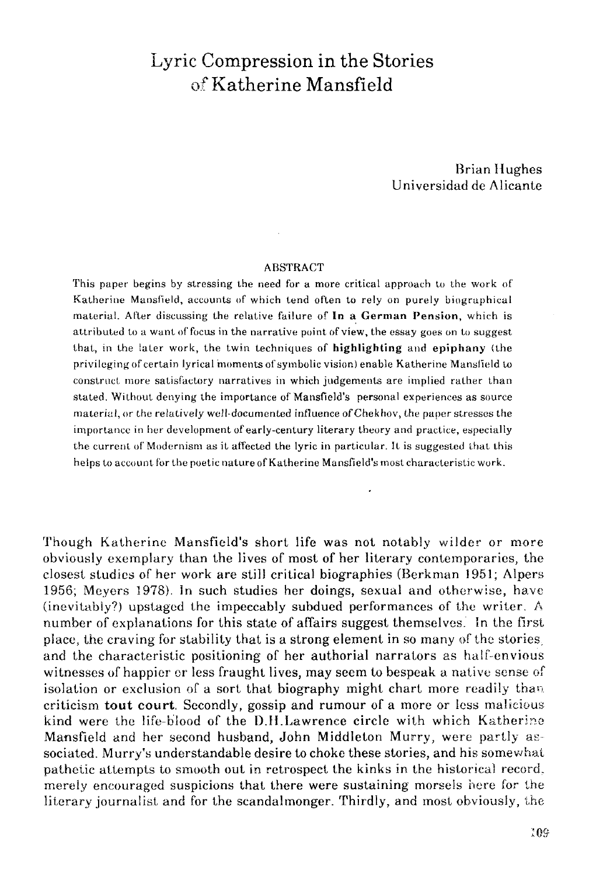## Lyric Compression in the Stories of Katherine Mansfield

Brian Hughes Universidad de Alicante

## ABSTRACT

This paper begins by stressing the need for a more critical approach to the work of Katherine Mansfield, accounts of which tend often to rely on purely biographical material. After discussing the relative failure of **In a Germán Pensión,** which is attributed to a want of focus in the narrative point of view, the essay goes on to suggest that, in the iater work, the twin techniques of **highlighting** and **epiphany** (the privileging of certain lyrical hioments of symbolic visión) enable Katherine Mansfield to construct more satisfaetory narratives in which judgemenls are implied rather than stated. Without denying the importance of Mansfield's personal experiences as source material, or the relatively well-documented influence of Chekhov, the paper stresses the importance in her development of early-century literary theory and practice, especially the current of Modernism as it affected the lyric in particular. It is suggested that this helps to account for the poetic nature of Katherine Mansfield's most characteristic work.

Though Katherine Mansfield's short life was not notably wilder or more obviously exemplary than the lives of most of her literary eontemporaries, the closest studies of her work are still critical biographies (Berkman 1951; Alpers 1956; Meyers 1978). In such studies her doings, sexual and otherwise, have (inevitably?) upstaged the impeccably subdued performances of the writer. A number of explanations for this state of affairs suggest themselves. In the first place, the craving for stability that is a strong element in so many of the stories, and the characteristic positioning of her authorial narrators as half-envious witnesses of happier or less fraught lives, may seem to bespeak a native sense of isolation or exclusion of a sort that biography might chart more readily than criticism **tout court.** Secondly, gossip and rumour of a more or less malieious kind were the life-b'iood of the D.H.Lawrence circle with which Katherine Mansfield and her second husband, John Middleton Murry, were partly associated. Murry's understandable desire to choke these stories, and his somewhat pathetic attempts to smooth out in retrospect the kinks in the historical record, merely encouraged suspicions that there were sustaining morsels here for the literary journalist and for the scandalmonger. Thirdly, and most obviously, the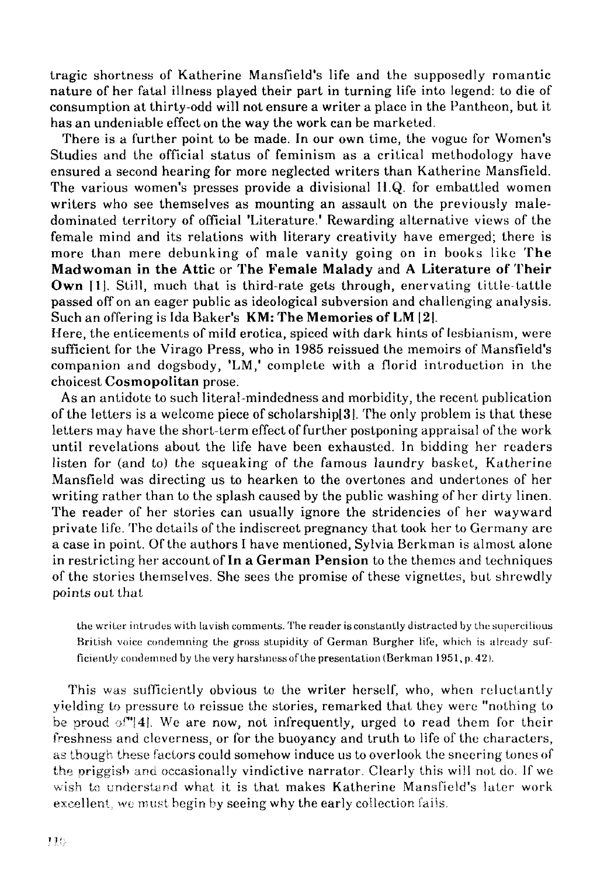tragic shortness of Katherine Mansfield's life and the supposedly romantic nature of her fatal illness played their part in turning life into legend: to die of consumption at thirty-odd will not ensure a writer a place in the Pantheon, but it has an undeniable effect on the way the work can be marketed.

There is a further point to be made. In our own time, the vogue for Women's Studies and the official status of feminism as a critical methodology have ensured a second hearing for more neglected writers than Katherine Mansfield. The various women's presses provide a divisional H.Q. for embattled women writers who see themselves as mounting an assault on the previously maledominated territory of official 'Literature.' Rewarding alternative views of the female mind and its relations with literary creativity have emerged; there is more than mere debunking of male vanity going on in books like **The Mad woman in the Attic** or **The Female Malady** and **A Literature of Their Own** [1]. Still, much that is third-rate gets through, enervating tittle-tattle passed off on an eager public as ideological subversion and challenging analysis. Such an offering is Ida Baker's **KM: The Memories of LM** [2|.

Here, the enticements of mild erotica, spiced with dark hints of lesbianism, were sufficient for the Virago Press, who in 1985 reissued the memoirs of Mansfield's companion and dogsbody, 'LM,' complete with a florid introduction in the choicest **Cosmopolitan** prose.

As an antidote to such literal-mindedness and morbidity, the recent publication of the letters is a welcome piece of scholarship[3]. The only problem is that these letters may have the short-term effect of further postponing appraisal of the work until revelations about the life have been exhausted. In bidding her readers listen for (and to) the squeaking of the famous laundry basket, Katherine Mansfield was directing us to hearken to the overtones and undertones of her writing rather than to the splash caused by the public washing of her dirty linen. The reader of her stories can usually ignore the stridencies of her wayward prívate life. The details of the indiscreet pregnancy that took her to Germany are a case in point. Of the authors I have mentioned, Sylvia Berkman is almost alone in restricting her account of **In a Germán Pensión** to the themes and techniques of the stories themselves. She sees the promise of these vignettes, but shrewdly points out that

the writer intrudes with lavish comments. The reader is constantly distracted by the supercilious British voice condemning the gross stupidity of German Burgher life, which is already sufficiently condemned by the very harshness of the presentation (Berkman 1951, p. 42).

This was sufficiently obvious to the writer herself, who, when reluctantly yielding to pressure to reissue the stories, remarked that they were "nothing to be proud  $\sigma$ [ $4$ ]. We are now, not infrequently, urged to read them for their freshness and cleverness, or for the buoyancy and truth to life of the characters, as though these factors could somehow induce us to overlook the sneering tones of the priggish and occasionally vindictive narrator. Clearly this will not do. If we wish to understand what it is that makes Katherine Mansfield's later work excellent, we must begin by seeing why the early collection fails.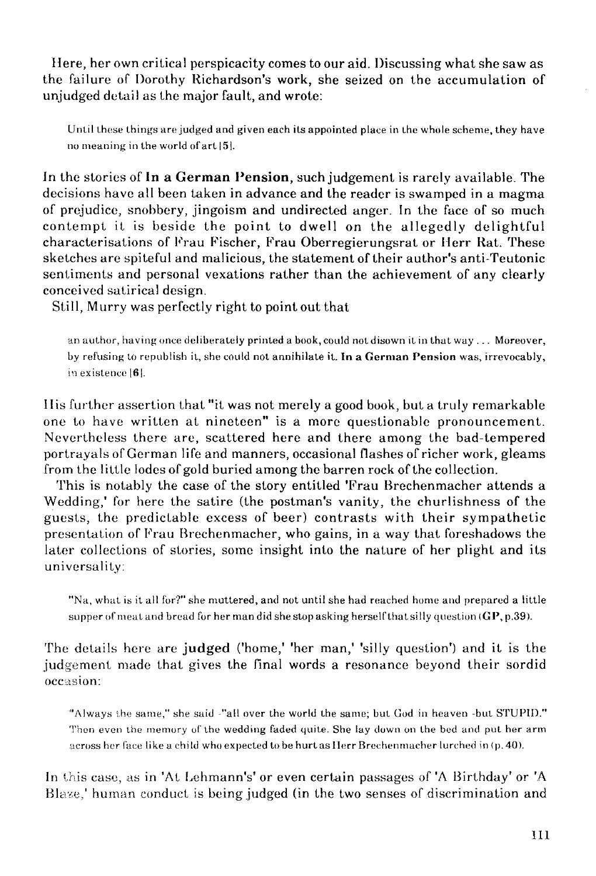Here, her own critical perspicacity comes to our aid. Discussing what she saw as the failure of Dorothy Richardson's work, she seized on the accumulation of unjudged detail as the major fault, and wrote:

Until these things are judged and given each its appointed place in the whole scheme, they have no meaning in the world ofart 151.

Jn the stories of **In a Germán Pensión,** such judgement is rarely available. The decisions have all been taken in advance and the reader is swamped in a magma of prejudice, snobbery, jingoism and undirected anger. In the face of so much contempt it is beside the point to dwell on the allegedly delightful characterisations of Frau Fischer, Frau Oberregierungsrat or Herr Rat. These sketches are spiteful and malicious, the statement of their author's anti-Teutonic sentiments and personal vexations rather than the achievement of any clearly conceived satirical design.

Still, Murry was perfectly right to point out that

an author, having once deliberately printed a book, could not disown it in that way ... Moreover, by refusing to republish it, she could not annihilate it. In a German Pension was, irrevocably, in existence [6].

I lis further assertion that "it was not merely a good book, but a truly remarkable one to have written at nineteen" is a more questionable pronouncement. Nevertheless there are, scattered here and there among the bad-tempered portrayals of German life and manners, occasional flashes of richer work, gleams from the little lodes of gold buried among the barren rock of the collection.

This is notably the case of the story entitled 'Frau Brechenmacher attends a Wedding,' for here the satire (the postman's vanity, the churlishness of the guests, the predictable excess of beer) contrasts with their sympathetic presentation of Frau Brechenmacher, who gains, in a way that foreshadows the later collections of stories, some insight into the nature of her plight and its universality:

"Na, what is it all for?" she muttered, and not until she had reached hume and prepared a little supper of meat and bread for her man did she stop asking herself that silly question  $(GP, p.39)$ .

The details here are judged ('home,' 'her man,' 'silly question') and it is the judgement made that gives the final words a resonance beyond their sordid occasion:

"Always the same," she said "all over the world the same; but God in heaven -bul STUPID." Then even the memory of the wedding faded quite. She lay down on the bed and put her arm across her face like a child whoexpeeted tobe hurt as I lerr Brechenmacher lurched in (p.40).

In this case, as in 'At Lehmann's' or even certain passages of 'A Birthday' or 'A Blaze,' human conduct is being judged (in the two senses of discrimination and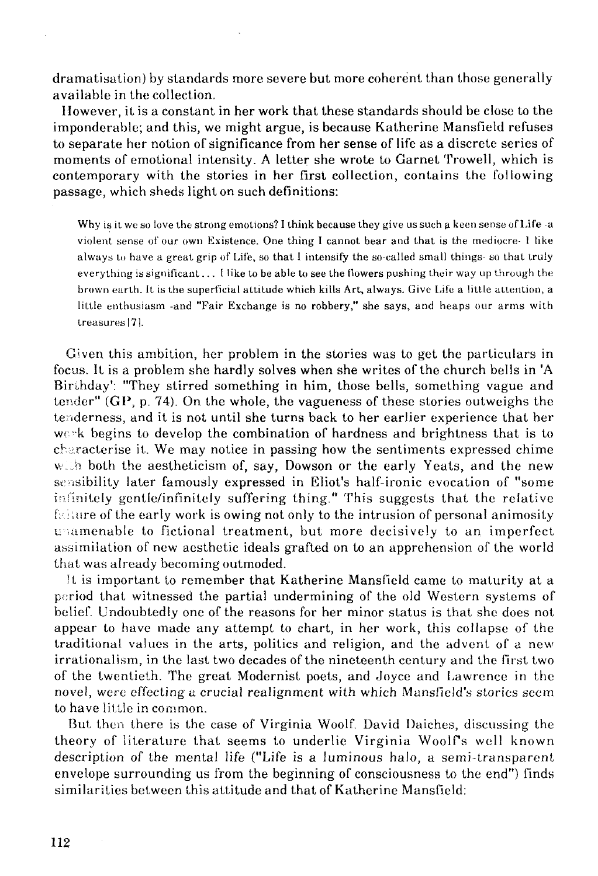dramatisation) by standards more severe but more coherént than those generally available in the collection.

llowever, it is a constant in her work that these standards should be cióse to the imponderable; and this, we might argüe, is because Katherine Mansfield refuses to sepárate her notion of significance from her sense of life as a discrete series of moments of emotional intensity. A letter she wrote to Garnet Trowell, which is contemporary with the stories in her first collection, contains the following passage, which sheds light on such definitions:

Why is it we so love the strong emotions? I think because they give ussuch a keen sense of **Life** -a violent sense of'our own Existence. One thing I cannot bear and that is the mediocre- i like always to have a great grip of Life, so that I intensify the so-called small things- so that truly everything is significant... I like to be able to see the flowers pushing their way up through the brown earth. It is the superficial attitude which kills Art, always. Give Life a little attention, a little enthusiasm -and "Fair Exchange is no robbery," she says, and heaps our arms with treasures|71.

Given this ambition, her problem in the stories was to get the particulars in focus. It is a problem she hardly solves when she writes of the church bells in 'A Birihday': "They stirred something in him, those bells, something vague and tender" (GP, p. 74). On the whole, the vagueness of these stories outweighs the tenderness, and it is not until she turns back to her earlier experience that her wc~k begins to develop the combination of hardness and brightness that is to ch ;racterise it. We may notice in passing how the sentiments expressed chime with both the aestheticism of, say, Dowson or the early Yeats, and the new sensibility later famously expressed in Eliot's half-ironic evocation of "some infmitely gentle/infinitely suffering thing." This suggests that the relative  $f:$ : iture of the early work is owing not only to the intrusion of personal animosity unamenable to fictional treatment, but more decisively to an imperfect assimilation of new aesthetic ideáis grafted on to an apprehension of the world that was already becoming outmoded.

!t is important to remember that Katherine Mansfield carne to maturity at a poriod that witnessed the partial undermining of the oíd Western systems of belief. Undoubtedly one of the reasons for her minor status is that she does not appear to have made any attempt to ehart, in her work, this collapse of the traditional valúes in the arts, politics and religión, and the advent of a new irrationalism, in the last two decades of the nineteenth century and the first two of the twentieth. The great Modernist poets, and Joyce and Lawrence in the novel, were effectinga crucial realignment with which Mansfield's stories seem to have little in common.

But then there is the case of Virginia Woolf. David Daiches, discussing the theory of iiterature that seems to underlie Virginia Woolfs wel! known description of the mental life ("Life is a luminous halo, a semi-transparent envelope surrounding us from the beginning of consciousness to the end") finds similarities between this attitude and that of Katherine Mansfield: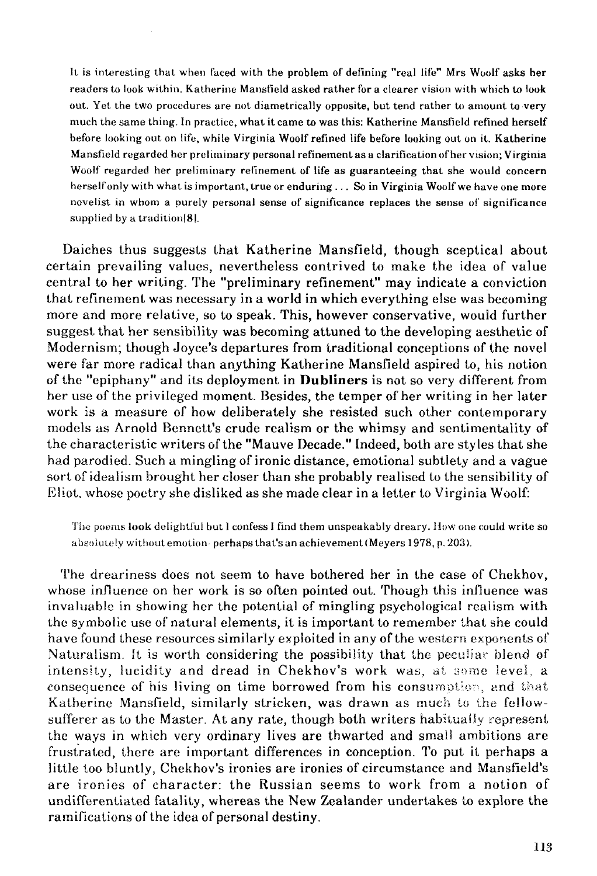It is interesling that when faced with the problem of defining "real lile" Mrs Woolf asks her readers to look within. Katherine Mansfield asked rather for a clearer vision with which to look out. Yet the two procedures are not diametrically opposite, but tend rather to amount to very much the same thing. In practice, what it carne to was this: Katherine Mansfíeld refined herself before lookíng out on lite, while Virginia Woolf refined life before looking out on it. Katherine Mansfíeld regarded her preliminary personal refinementasa clarificationofher visión; Virginia Woolf regarded her preliminary refinement of life as guaranteeing that she would concern herself only with what is important, true or enduring ... So in Virginia Woolf we have one more novelist in whom a purely personal sense of significance replaces the sense of significance supplied by a tradition[8|.

Daiches thus suggests that Katherine Mansfíeld, though sceptical about certain prevailing values, nevertheless contrived to make the idea of value central to her writing. The "preliminary refinement" may indícate a conviction that refinement was necessary in a world in which everything else was becoming more and more relative, so to speak. This, however conservative, would further suggest that her sensibility was becoming attuned to the developing aesthetic of Modernism; though Joyce's departures from traditional conceptions of the novel were far more radical than anything Katherine Mansfíeld aspired to, his notion of the "epiphany" and its deployment in **Dubliners** is not so very different from her use of the privileged moment. Besides, the temper of her writing in her later work is a measure of how deliberately she resisted such other contemporary models as Arnold Bennett's crude realism or the whimsy and sentimentality of the characteristic writers of the "Mauve Decade." Indeed, both are styles that she had parodied. Such a minglingof ironic distance, emotional subtlety and a vague sort of idealism brought her closer than she probably realised to the sensibility of Kliot, whose poetry she disliked as she made clear in a letter to Virginia Woolf:

The poems look delightful but I confess I find them unspeakably dreary. How one could write so absolutely without emotion- perhaps that's an achievement (Meyers 1978, p. 203).

The dreariness does not seem to have bothered her in the case of Chekhov, whose influence on her work is so often pointed out. Though this influence was invaluable in showing her the potential of mingling psychological realism with the symbolic use of natural elements, it is important to remember that she could have found these resources similarly exploited in any of the western exponents of Naturalism. It is worth considering the possibility that the peculiar blend of intensity, lucidity and dread in Chekhov's work was, at some level, a consequence of his living on time borrowed from his consumption, and that Katherine Mansfíeld, similarly stricken, was drawn as much to the fellowsufferer as to the Master. At any rate, though both writers habitually represent the ways in which very ordinary lives are thwarted and smail ambitions are frustrated, there are important differences in conception. To put it perhaps a little too bluntly, Chekhov's ironies are ironies of circumstance and Mansfield's are ironies of character: the Russian seems to work from a notion of undifferentiated fatality, whereas the New Zealander undertakes to explore the ramifications of the idea of personal destiny.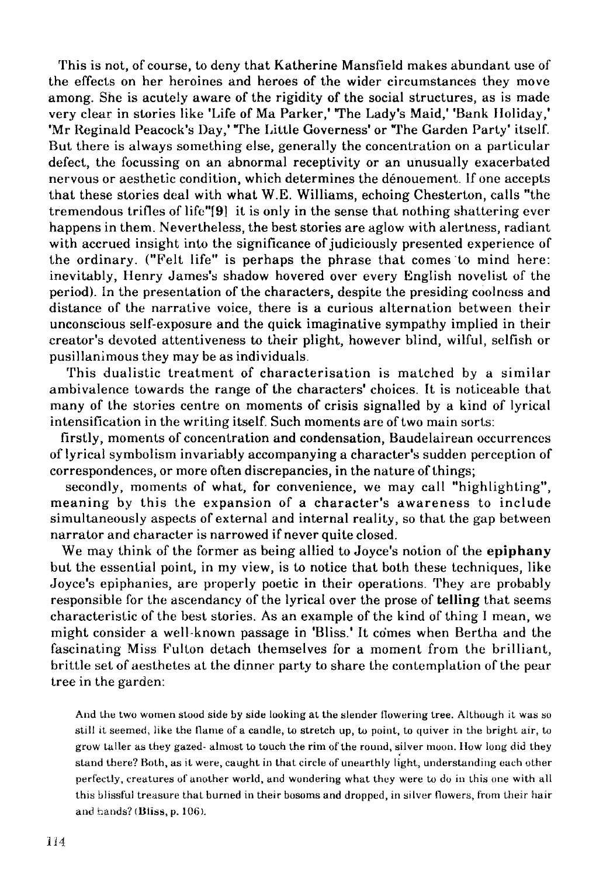This is not, of course, to deny that Katherine Mansfield makes abundant use of the effects on her heroines and héroes of the wider circumstances they move among. She is acutely aware of the rigidity of the social structures, as is made very clear in stories like 'Life of Ma Parker,' The Lady's Maid,' 'Bank Holiday,' 'Mr Reginald Peacock's Day,' "The Little Governess' or "The Garden Party' itself. But there is always something else, generally the concentration on a particular defect, the focussing on an abnormal receptivity or an unusually exacerbated nervous or aesthetic condition, which determines the dénouement. If one accepts that these stories deal with what W.E. Williams, echoing Chesterton, calis "the tremendous trifles of life"f9| it is only in the sense that nothing shattering ever happens in them. Nevertheless, the best stories are aglow with alertness, radiant with accrued insight into the significance of judiciously presented experience of the ordinary. ("Felt life" is perhaps the phrase that comes to mind here: inevitably, Henry James's shadow hovered over every English novelist of the period). In the presentation of the characters, despite the presiding coolness and distance of the narrative voice, there is a curious alternation between their unconscious self-exposure and the quick imaginative sympathy implied in their creator's devoted attentiveness to their plight, however blind, wilful, selfish or pusillanimous they may be as individuáis.

This dualistic treatment of characterisation is matched by a similar ambivalence towards the range of the characters' choices. It is noticeable that many of the stories centre on moments of crisis signalled by a kind of lyrical intensification in the writing itself. Such moments are of two main sorts:

firstly, moments of concentration and condensation, Baudelairean occurrences of lyrical symbolism invariably accompanying a character's sudden perception of correspondences, or more often discrepancies, in the nature of things;

secondly, moments of what, for convenience, we may cali "highlighting", meaning by this the expansión of a character's awareness to include simultaneously aspects of external and internal reality, so that the gap between narrator and character is narrowed if never quite closed.

We may think of the former as being allied to Joyce's notion of the **epiphany**  but the essential point, in my view, is to notice that both these techniques, like Joyce's epiphanies, are properly poetic in their operations. They are probably responsible for the ascendancy of the lyrical over the prose of **telling** that seems characteristic of the best stories. As an example of the kind of thing I mean, we might consider a well-known passage in 'Bliss.' It comes when Bertha and the fascinating Miss Fulton detach themselves for a moment from the brilliant, brittle set of aesthetes at the dinner party to share the contemplation of the pear tree in the garden:

And the two women stood side by side looking at the slender flowering tree. Aitbough it was so still it seemed, iike the llame of a candle, to stretch up, to point, to quiver in the bright air, to grow taller as they gazed- almost to touch the rim of the round, silver moon. How long did they stand there? Both, as it were, caught in that circle of unearthly light, understanding eaeh other perfectly, creatures of anolher world, and wondering what they were to do in this one with all this blissful treasure that burned in their bosoms and dropped, in silver flowers, from their hair and hands? (Bliss, p. 106).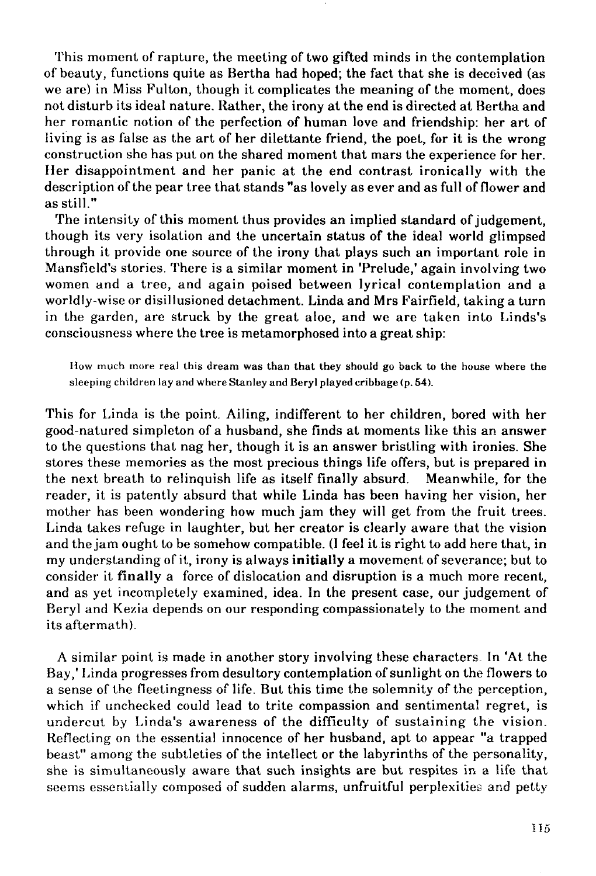This moment of rapture, the meeting of two gifted minds in the contemplation of beauty, functions quite as Bertha had hoped; the fact that she is deceived (as we are) in Miss Fulton, though it complicates the meaning of the moment, does not disturb its ideal nature. Rather, the irony at the end is directed at Bertha and her romantic notion of the perfection of human love and friendship: her art of Hving is as false as the art of her dilettante friend, the poet, for it is the wrong construction she has put on the shared moment that mars the experience for her. Her disappointment and her panic at the end contrast ironically with the description of the pear tree that stands "as lovely as ever and as full of flower and asstill."

The intensity of this moment thus provides an implied standard of judgement, though its very isolation and the uncertain status of the ideal world glimpsed through it provide one source of the irony that plays such an important role in Mansfield's stories. There is a similar moment in 'Prelude,' again involving two women and a tree, and again poised between lyrical contemplation and a worldly-wise or disillusioned detachment. Linda and Mrs Fairfield, taking a turn in the garden, are struck by the great aloe, and we are taken into Linds's consciousness where the tree is metamorphosed into a great ship:

How much more real this dream was than that they should go back to the house where the sleeping children lay and where Stanley and Beryl played cribbage (p. 54).

This for Linda is the point. Ailing, indifferent to her children, bored with her good-natured simpleton of a husband, she finds at moments like this an answer to the questions that nag her, though it is an answer bristling with ironies. She stores these memories as the most precious things life offers, but is prepared in the next breath to relinquish life as itself finally absurd. Meanwhile, for the reader, it is patently absurd that while Linda has been having her vision, her mother has been wondering how much jam they will get from the fruit trees. Linda takes refuge in laughter, but her creator is clearly aware that the vision and the jam ought to be somehow compatible. (1 feel it is right to add here that, in my understandingof it, irony is always **initially** a movementof severance; but to consider it finally a forcé of dislocation and disruption is a much more recent, and as yet incompletely examined, idea. In the present case, our judgement of Beryl and Kezia depends on our responding compassionately to the moment and its aftermath).

A similar point is made in another story involving these characters In 'At the Bay," Linda progresses from desultory contemplation of sunlight on the flowers to a sense of the fleetingness of life. But this time the solemnity of the perception, which if unchecked could lead to trite compassion and sentimental regret, is undercut by Linda's awareness of the difficulty of sustaining the visión. Reflecting on the essential innocence of her husband, apt to appear "a trapped beast" among the subtleties of the intellect or the labyrinths of the personality, she is simultaneously aware that such insights are but respites in a life that seems essentially composed of sudden alarms, unfruitful perplexities and petty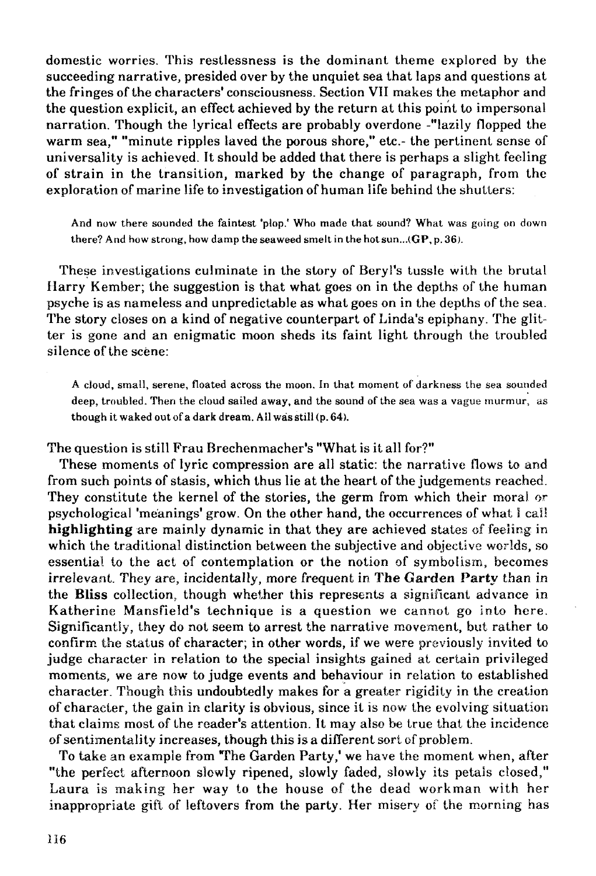domestic worries. This restlessness is the dominant theme explored by the succeeding narrative, presided over by the unquiet sea that laps and questions at the fringes of the characters' consciousness. Section VII makes the metaphor and the question explicit, an effect achieved by the return at this point to impersonal narration. Though the lyrical effects are probably overdone -"lazily flopped the warm sea," "minute ripples iaved the porous shore," etc.- the pertinent sense of universality is achieved. It should be added that there is perhaps a slight feeling of strain in the transition, marked by the change of paragraph, from the exploration of marine life to investigation of human life behind the shutters:

And now there sounded the faintest 'plop.' Who made that sound? What was going on down there? And how strong, how damp the seaweed smelt in the hot sun...( $\mathbf{GP}, \mathbf{p}, 36$ ).

These investigations culminate in the story of Beryl's tussle with the brutal Ilarry Kember; the suggestion is that what goes on in the depths of the human psyche is as nameless and unpredictable as what goes on in the depths of the sea. The story closes on a kind of negative counterpart of Linda's epiphany. The glitter is gone and an enigmatic moon sheds its faint light through the troubled silence of the scene:

A cloud, small, serene, floated across the moon. In that moment of darkness the sea sounded deep, troubled. Then the cloud sailed away, and the sound of the sea was a vague murmur, as though it waked out of a dark dream. All was still (p. 64).

The question is still Frau Brechenmacher's "What is it all for?"

These moments of lyric compression are all static: the narrative flows to and from such points of stasis, which thus lie at the heart of the judgements reached. They constitute the kernel of the stories, the germ from which their moral or psychological 'méanings' grow. On the other hand, the occurrences of what I caí! **highlighting** are mainly dynamic in that they are achieved states of feeling in which the traditional distinction between the subjective and objective worlds, so essential to the act of contemplation or the notion of symbolísm, becomes irrelevant. They are, incidentally, more frequent in The Garden Party than in the **Bliss** collection, though whether this represents a signiñcant advance in Katherine Mansfield's technique is a question we cannot go into here. Significantly, they do not seem to arrest the narrative movement, but rather to confirm the status of character; in other words, if we were previously invited to judge character in relation to the special insights gained at certain privileged moments, we are now to judge events and behaviour in relation to established character. Though this undoubtedly makes for a greater rigidity in the creation of character, the gain in clarity is obvious, since it is now the evolving situation that claims most of the reader's attention. It may also be true that the incidence of sentimentality increases, though this is a different sorí of problem.

To take an example from The Garden Party,' we have the moment when, after "the perfect afternoon slowly ripened, slowly faded, slowly its petáis closed," Laura is making her way to the house of the dead workman with her inappropriate gift of leftovers from the party. Her misery of the morning has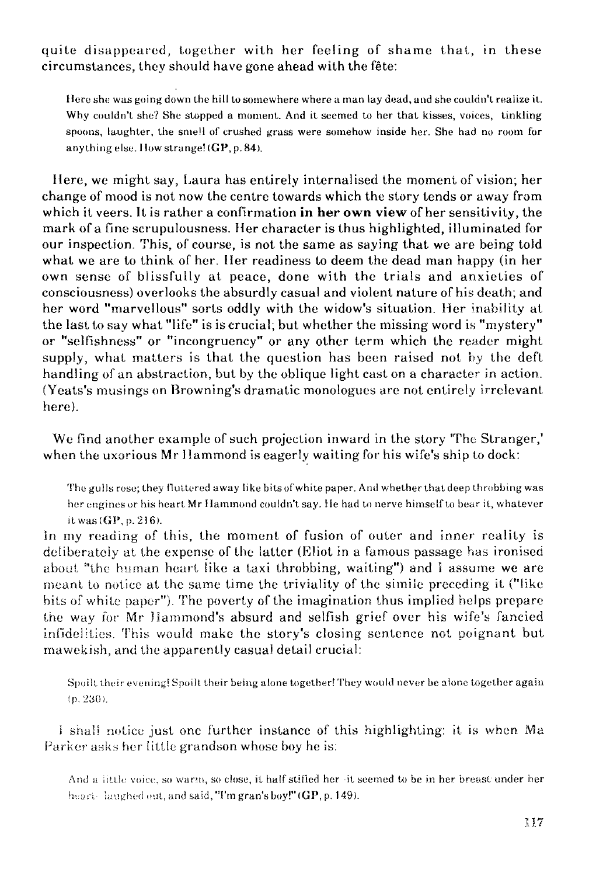quite disappeared, together with her feeling of shame that, in these circumstances, they should have gone ahead with the féte:

Here she was going down the hill to somewhere where a man lay dead, and she couldn't realize it. Why couldn't she? She stopped a moment. And it seemed to her that kisses, voices, tinkling spoons, laughter, the smell of crushed grass were somehow inside her. She had no room for anythingelse. Howstrange!(GP,p.84).

Here, we might say, Laura has entirely internalised the moment of visión; her change of mood is not now the centre towards which the story tends or away from which it veers. It is rather a confirmation **in her own view** of her sensitivity, the mark of a fine scrupulousness. Her character is thus highlighted, illuminated for our inspection. This, of course, is not the same as saying that we are being toid what we are to think of her. Her readiness to deem the dead man happy (in her own sense of blissfully at peace, done with the trials and anxieties of consciousness) overlooks the absurdly casual and violent nature of his death; and her word "marvellous" sorts oddly with the widow's situation. Her inability at the last to say what "iife" is is crucial; but whether the missing word is "mystery" or "selfishness" or "incongruency" or any other term which the reader might supply, what matters is that the question has been raised not by the deft handling of an abstraction, but by the oblique light cast on a character in action. (Yeats's musings on Browning's dramatic monologues are not entirely irrelevant here).

We find another example of such projection inward in the story "The Stranger," when the uxorious Mr Hammond is eagerly waiting for his wife's ship to dock:

The gulls rose; they fluttered away like bits of white paper. And whether that deep throbbing was her engines or his heart Mr Hammond couldn't say. He had to nerve himself to bear it, whatever it was (GP, p. 216).

In my reading of this, the moment of fusion of outer and inner reality is deliberately at the expense of the latter (Eliot in a famous passage has ironised about "the human heart like a taxi throbbing, waiting") and i assume we are meant to notice at the same time the triviality of the simiie preceding it ("like bits of white paper"). The poverty of the imagination thus implied helps prepare the way for Mr Ilammond's absurd and selfish grief over his wife's fancied infidelities. This would make the story's closing sentence not poignant but mawekish, and the apparently casual detail crucial:

Spoiil their evening! Spoilt their being alone together'They would never be alone together again (p. 230).

i shali notice just one further instance of this highlighting: it is when Ma Parker asks her little grandson whose boy he is:

And a little voice, so warm, so close, it half stifled her -it seemed to be in her breast under her heart-laughed out, and said, "I'm gran's boy!" (GP, p. 149).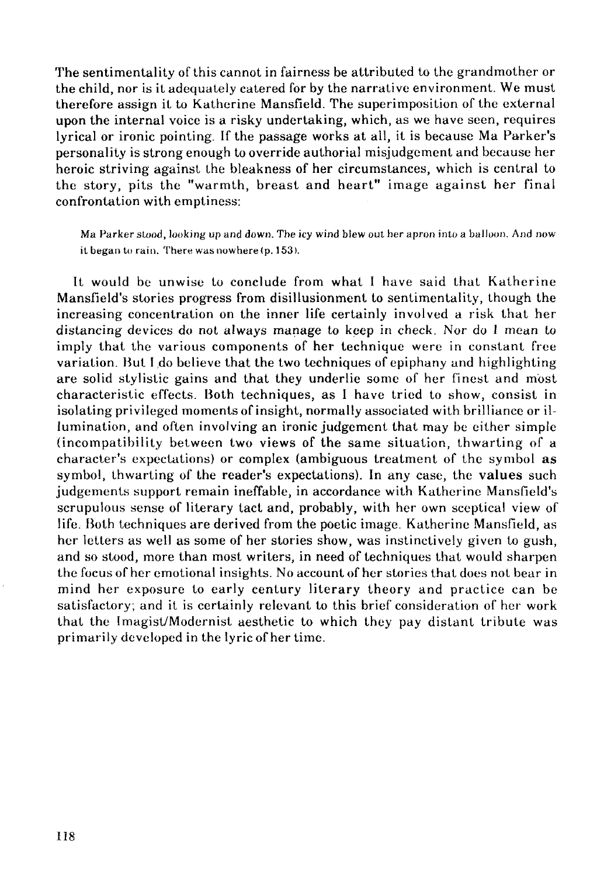The sentimentality of this cannot in fairness be attributed lo the grandmother or the child, ñor is it adequately catered for by the narrative environment. We must therefore assign il to Katherine Mansfield. The superimposition of the external upon the internal voice is a risky undertaking, which, as we have seen, requires lyrical or ironic pointing. If the passage works at all, it is because Ma Parker's personality is strong enough to override authorial misjudgement and because her heroic striving against the bleakness of her eircumstances, which is central to the story, pits the "warmth, breast and heart" image against her final confrontation with emptiness:

Ma Parker stood, looking up and down. The icy wind blew out her apron into a balloon. And now it began to rain. There was nowhere (p. 153).

It would be unwise to conclude from what I have said that Katherine Mansfield's stories progress from disillusionment to sentimentality, though the increasing concentration on the inner life certainly in volved a risk that her distancing devices do not always manage to keep in check. Ñor do 1 mean to imply that the various components of her technique were in constant free variation. But I do believe that the two techniques of epiphany and highlighting are solid stylistic gains and that they underlie some of her finest and most characteristic effects. Both techniques, as I have tried to show, consist in isolating privileged moments of insight, normally associated with brilliance or illumination, and often involving an ironic judgement that may be either simple (incompatibility between two views of the same situation, thwarting of a character's expectations) or complex (ambiguous treatment of the symbol as symbol, thwarting of the reader's expectations). In any case, the values such judgements support remain ineffable, in accordance with Katherine Mansfield's scrupulous sense of literary tact and, probably, with her own sceptical view of life. Both techniques are derived from the poetic image. Katherine Mansfield, as her letters as well as some of her stories show, was instinctively given to gush, and so stood, more than most writers, in need of techniques that would sharpen the focus of her emotional insights. No account of her stories that does not bear in mind her exposure to early century literary theory and practice can be satisfactory; and it is certainly relevant to this brief consideration of her work that the Imagist/Modernist aesthetic to which they pay distant tribute was primarily developed in the lyric of her time.